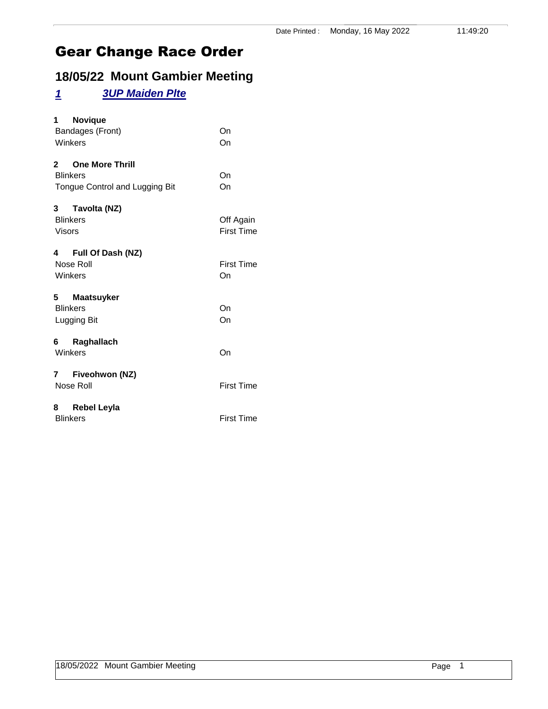# **18/05/22 Mount Gambier Meeting**

### *1 3UP Maiden Plte*

| 1 Novique<br>Bandages (Front)<br>Winkers                               | On<br>On                       |
|------------------------------------------------------------------------|--------------------------------|
| 2 One More Thrill<br><b>Blinkers</b><br>Tongue Control and Lugging Bit | On<br>On                       |
| 3 Tavolta (NZ)<br><b>Blinkers</b><br><b>Visors</b>                     | Off Again<br><b>First Time</b> |
| 4 Full Of Dash (NZ)<br>Nose Roll<br>Winkers                            | <b>First Time</b><br>On        |
| 5 Maatsuyker<br><b>Blinkers</b><br>Lugging Bit                         | On<br>On                       |
| 6 Raghallach<br>Winkers                                                | On                             |
| 7 Fiveohwon (NZ)<br>Nose Roll                                          | <b>First Time</b>              |
| 8 Rebel Leyla<br><b>Blinkers</b>                                       | <b>First Time</b>              |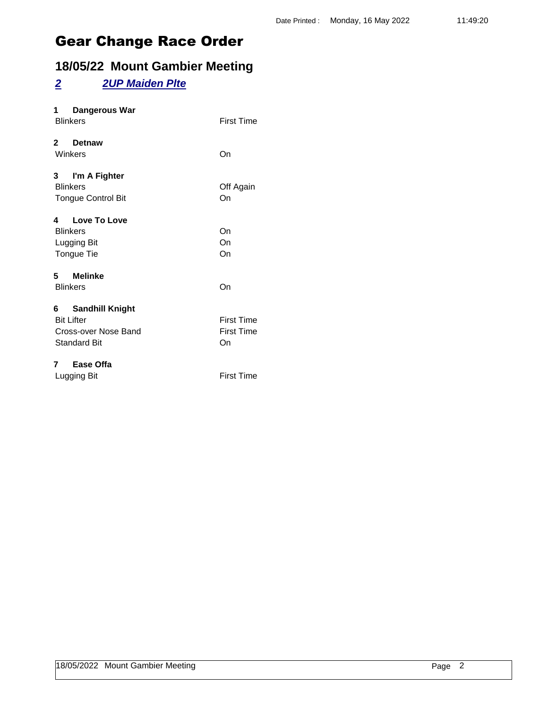## **18/05/22 Mount Gambier Meeting**

#### *2 2UP Maiden Plte*

| Dangerous War<br>1<br><b>Blinkers</b>                                                 | <b>First Time</b>                            |
|---------------------------------------------------------------------------------------|----------------------------------------------|
| 2 Detnaw<br>Winkers                                                                   | On                                           |
| 3 I'm A Fighter<br><b>Blinkers</b><br><b>Tongue Control Bit</b>                       | Off Again<br>On                              |
| 4 Love To Love<br><b>Blinkers</b><br>Lugging Bit<br>Tongue Tie                        | On<br>On<br>On                               |
| 5 Melinke<br><b>Blinkers</b>                                                          | On                                           |
| 6 Sandhill Knight<br><b>Bit Lifter</b><br>Cross-over Nose Band<br><b>Standard Bit</b> | <b>First Time</b><br><b>First Time</b><br>On |
| 7 Ease Offa<br>Lugging Bit                                                            | <b>First Time</b>                            |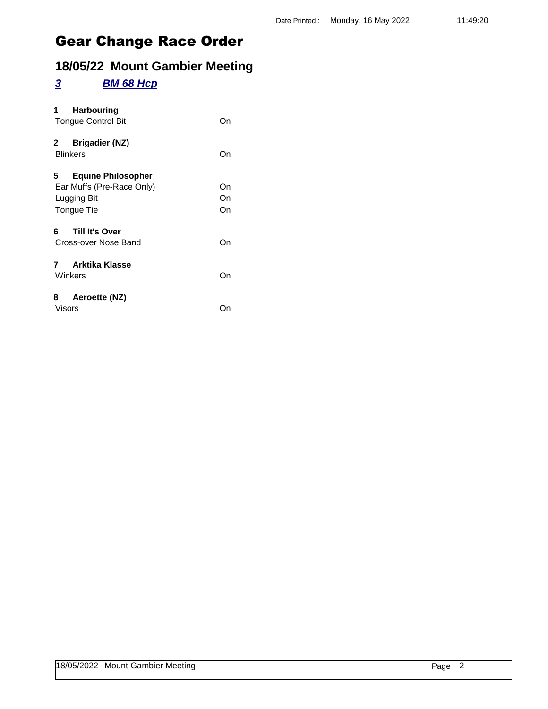## **18/05/22 Mount Gambier Meeting**

#### *3 BM 68 Hcp*

| <b>Harbouring</b><br>1<br><b>Tongue Control Bit</b>                                       | On             |
|-------------------------------------------------------------------------------------------|----------------|
| <b>Brigadier (NZ)</b><br>2<br><b>Blinkers</b>                                             | On             |
| 5.<br><b>Equine Philosopher</b><br>Ear Muffs (Pre-Race Only)<br>Lugging Bit<br>Tongue Tie | On<br>On<br>On |
| Till It's Over<br>6<br>Cross-over Nose Band                                               | On             |
| <b>Arktika Klasse</b><br>7<br>Winkers                                                     | On             |
| 8<br>Aeroette (NZ)<br><b>Visors</b>                                                       | ()n            |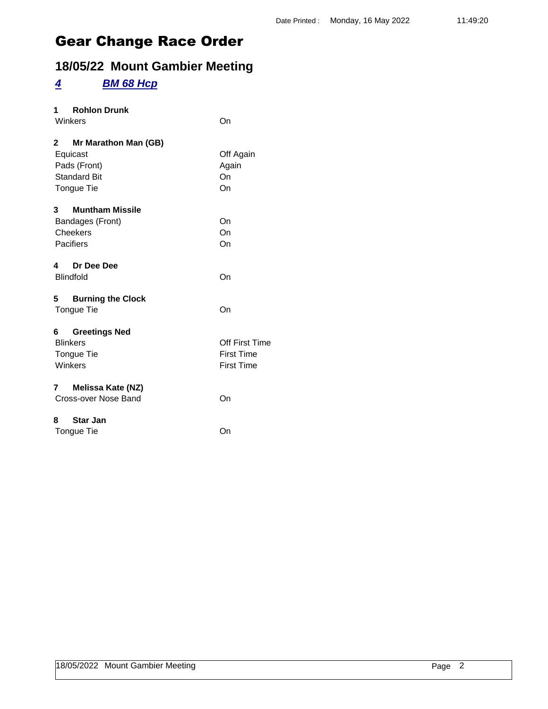## **18/05/22 Mount Gambier Meeting**

#### *4 BM 68 Hcp*

| 1 Rohlon Drunk<br>Winkers                                                                            | On                                                              |
|------------------------------------------------------------------------------------------------------|-----------------------------------------------------------------|
| $2^{\circ}$<br>Mr Marathon Man (GB)<br>Equicast<br>Pads (Front)<br><b>Standard Bit</b><br>Tongue Tie | Off Again<br>Again<br>On<br>On                                  |
| $\mathbf{3}$<br><b>Muntham Missile</b><br>Bandages (Front)<br>Cheekers<br>Pacifiers                  | On<br>On<br>On                                                  |
| Dr Dee Dee<br>4<br><b>Blindfold</b>                                                                  | On                                                              |
| 5<br><b>Burning the Clock</b><br>Tongue Tie                                                          | On                                                              |
| 6 Greetings Ned<br><b>Blinkers</b><br>Tongue Tie<br>Winkers                                          | <b>Off First Time</b><br><b>First Time</b><br><b>First Time</b> |
| 7<br>Melissa Kate (NZ)<br>Cross-over Nose Band                                                       | On                                                              |
| <b>Star Jan</b><br>8<br>Tongue Tie                                                                   | On                                                              |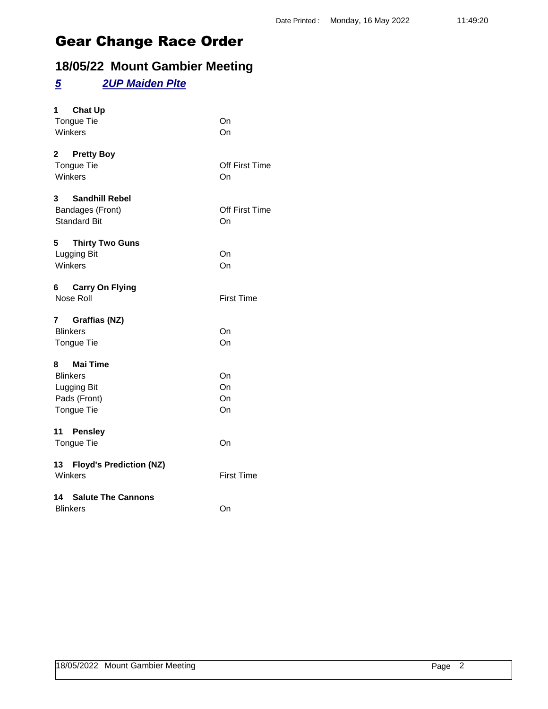## **18/05/22 Mount Gambier Meeting**

#### *5 2UP Maiden Plte*

| <b>Chat Up</b><br>1<br>Tongue Tie<br>Winkers                                    | On<br>On             |
|---------------------------------------------------------------------------------|----------------------|
| 2 Pretty Boy<br><b>Tongue Tie</b><br>Winkers                                    | Off First Time<br>On |
| $3^{\circ}$<br><b>Sandhill Rebel</b><br>Bandages (Front)<br><b>Standard Bit</b> | Off First Time<br>On |
| 5 Thirty Two Guns<br>Lugging Bit<br>Winkers                                     | On<br>On             |
| 6 Carry On Flying<br>Nose Roll                                                  | <b>First Time</b>    |
| 7 Graffias (NZ)<br><b>Blinkers</b><br><b>Tongue Tie</b>                         | On<br>On             |
| 8 Mai Time<br><b>Blinkers</b><br>Lugging Bit<br>Pads (Front)<br>Tongue Tie      | On<br>On<br>On<br>On |
| 11 Pensley<br>Tongue Tie                                                        | On                   |
| 13 Floyd's Prediction (NZ)<br>Winkers                                           | <b>First Time</b>    |
| <b>14 Salute The Cannons</b><br><b>Blinkers</b>                                 | On                   |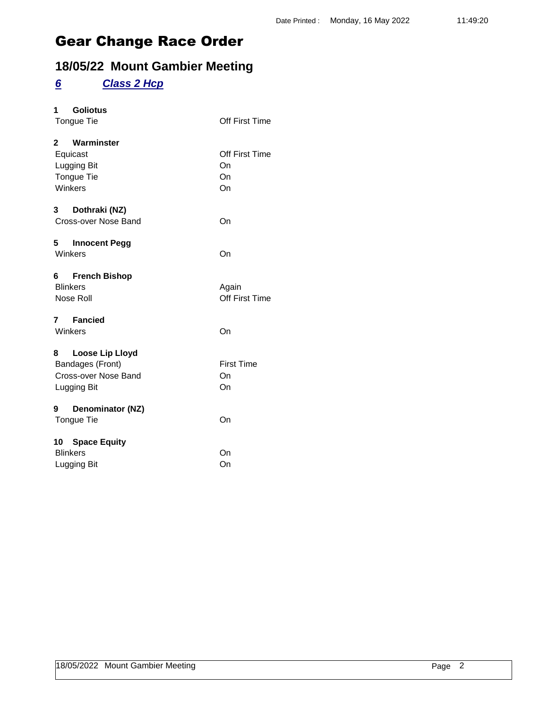## **18/05/22 Mount Gambier Meeting**

## *6 Class 2 Hcp*

| <b>Goliotus</b><br>1         |                   |
|------------------------------|-------------------|
| Tongue Tie                   | Off First Time    |
| 2 Warminster                 |                   |
| Equicast                     | Off First Time    |
| Lugging Bit                  | On                |
| Tongue Tie                   | On                |
| Winkers                      | On                |
| $3^{\circ}$<br>Dothraki (NZ) |                   |
| Cross-over Nose Band         | On                |
| 5 Innocent Pegg              |                   |
| Winkers                      | On                |
| 6 French Bishop              |                   |
| <b>Blinkers</b>              | Again             |
| Nose Roll                    | Off First Time    |
| 7 Fancied                    |                   |
| Winkers                      | On                |
| 8 Loose Lip Lloyd            |                   |
| Bandages (Front)             | <b>First Time</b> |
| Cross-over Nose Band         | On                |
| Lugging Bit                  | On                |
| Denominator (NZ)<br>9        |                   |
| <b>Tongue Tie</b>            | On                |
| 10 Space Equity              |                   |
| <b>Blinkers</b>              | On                |
| Lugging Bit                  | On                |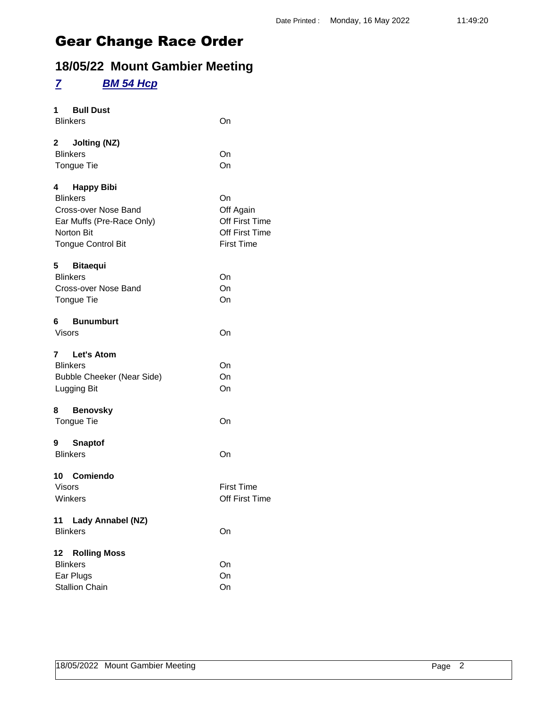## **18/05/22 Mount Gambier Meeting**

#### *7 BM 54 Hcp*

| 1 Bull Dust<br><b>Blinkers</b>                                                                                                         | On                                                                       |
|----------------------------------------------------------------------------------------------------------------------------------------|--------------------------------------------------------------------------|
| 2 Jolting (NZ)<br><b>Blinkers</b><br><b>Tongue Tie</b>                                                                                 | On<br>On                                                                 |
| 4 Happy Bibi<br><b>Blinkers</b><br>Cross-over Nose Band<br>Ear Muffs (Pre-Race Only)<br><b>Norton Bit</b><br><b>Tongue Control Bit</b> | On<br>Off Again<br>Off First Time<br>Off First Time<br><b>First Time</b> |
| 5 Bitaequi<br><b>Blinkers</b><br>Cross-over Nose Band<br>Tongue Tie                                                                    | On<br>On<br>On                                                           |
| 6 Bunumburt<br>Visors                                                                                                                  | On                                                                       |
| 7 Let's Atom<br><b>Blinkers</b><br><b>Bubble Cheeker (Near Side)</b><br>Lugging Bit                                                    | On<br>On<br>On                                                           |
| 8 Benovsky<br>Tongue Tie                                                                                                               | On                                                                       |
| 9 Snaptof<br><b>Blinkers</b>                                                                                                           | On                                                                       |
| 10 Comiendo<br><b>Visors</b><br>Winkers                                                                                                | <b>First Time</b><br>Off First Time                                      |
| 11 Lady Annabel (NZ)<br><b>Blinkers</b>                                                                                                | On                                                                       |
| <b>Rolling Moss</b><br>12<br><b>Blinkers</b><br>Ear Plugs<br><b>Stallion Chain</b>                                                     | On<br>On<br>On                                                           |